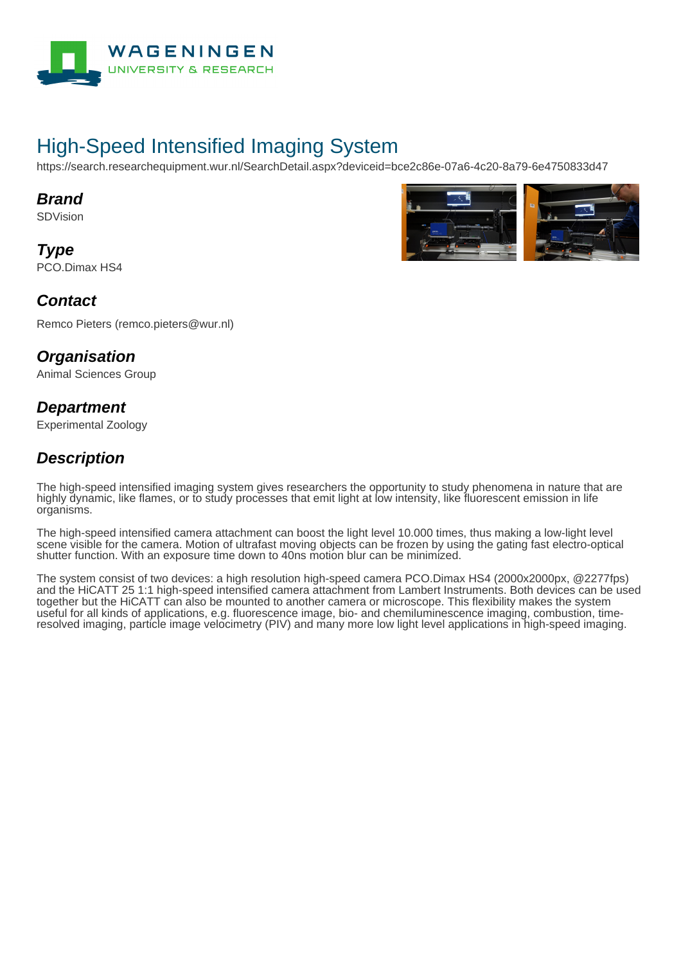

# High-Speed Intensified Imaging System

https://search.researchequipment.wur.nl/SearchDetail.aspx?deviceid=bce2c86e-07a6-4c20-8a79-6e4750833d47

#### **Brand**

SDVision

**Type** PCO.Dimax HS4



#### **Contact**

Remco Pieters (remco.pieters@wur.nl)

#### **Organisation**

Animal Sciences Group

#### **Department**

Experimental Zoology

### **Description**

The high-speed intensified imaging system gives researchers the opportunity to study phenomena in nature that are highly dynamic, like flames, or to study processes that emit light at low intensity, like fluorescent emission in life organisms.

The high-speed intensified camera attachment can boost the light level 10.000 times, thus making a low-light level scene visible for the camera. Motion of ultrafast moving objects can be frozen by using the gating fast electro-optical shutter function. With an exposure time down to 40ns motion blur can be minimized.

The system consist of two devices: a high resolution high-speed camera PCO.Dimax HS4 (2000x2000px, @2277fps) and the HiCATT 25 1:1 high-speed intensified camera attachment from Lambert Instruments. Both devices can be used together but the HiCATT can also be mounted to another camera or microscope. This flexibility makes the system useful for all kinds of applications, e.g. fluorescence image, bio- and chemiluminescence imaging, combustion, timeresolved imaging, particle image velocimetry (PIV) and many more low light level applications in high-speed imaging.